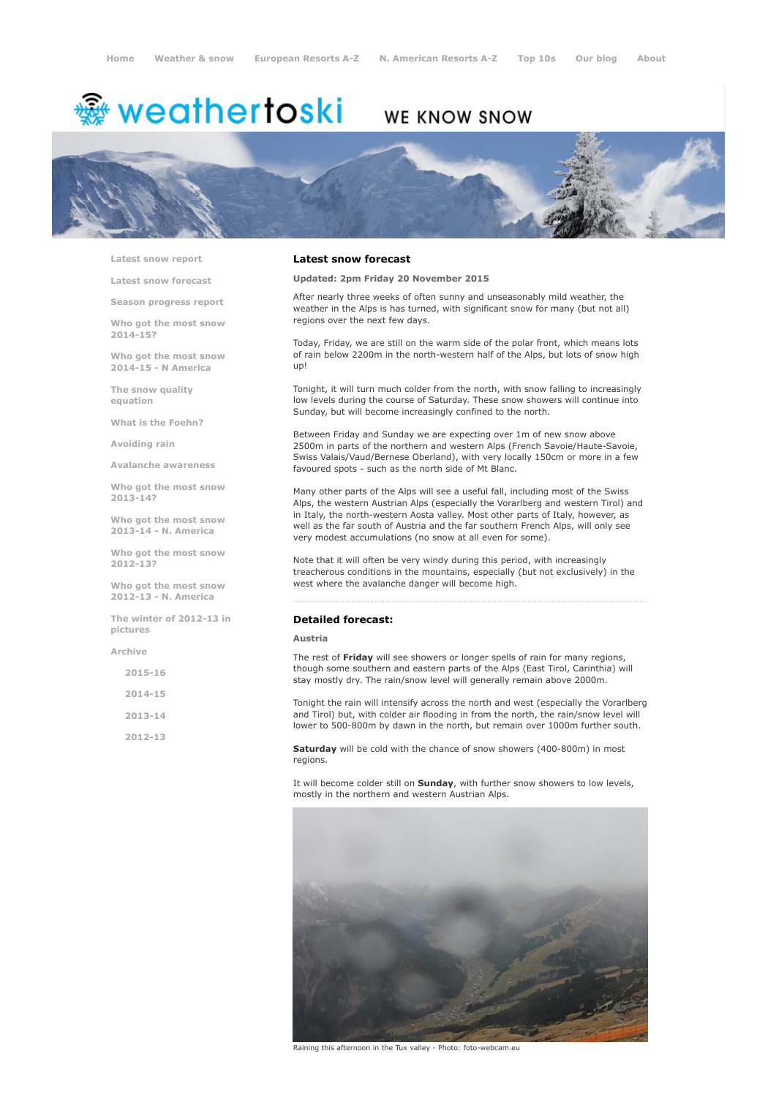# <del>鑾</del> weathertoski

# WE KNOW SNOW



Latest snow [report](http://www.weathertoski.co.uk/weather-snow/latest-snow-report/)

Latest snow [forecast](http://www.weathertoski.co.uk/weather-snow/latest-snow-forecast/)

Season [progress](http://www.weathertoski.co.uk/weather-snow/season-progress-report/) report

Who got the most snow 2014-15?

Who got the most snow 2014-15 - N America

The snow quality [equation](http://www.weathertoski.co.uk/weather-snow/the-snow-quality-equation/)

What is the [Foehn?](http://www.weathertoski.co.uk/weather-snow/what-is-the-foehn/)

[Avoiding](http://www.weathertoski.co.uk/weather-snow/avoiding-rain/) rain

Avalanche [awareness](http://www.weathertoski.co.uk/weather-snow/avalanche-awareness/)

Who got the most snow 2013-14?

Who got the most snow 2013-14 - N. America

Who got the most snow 2012-13?

Who got the most snow 2012-13 - N. America

The winter of 2012-13 in pictures

[Archive](http://www.weathertoski.co.uk/weather-snow/archive/)

2015-16

2014-15

2013-14

2012-13

## Latest snow forecast

Updated: 2pm Friday 20 November 2015

After nearly three weeks of often sunny and unseasonably mild weather, the weather in the Alps is has turned, with significant snow for many (but not all) regions over the next few days.

Today, Friday, we are still on the warm side of the polar front, which means lots of rain below 2200m in the north-western half of the Alps, but lots of snow high up!

Tonight, it will turn much colder from the north, with snow falling to increasingly low levels during the course of Saturday. These snow showers will continue into Sunday, but will become increasingly confined to the north.

Between Friday and Sunday we are expecting over 1m of new snow above 2500m in parts of the northern and western Alps (French Savoie/Haute-Savoie, Swiss Valais/Vaud/Bernese Oberland), with very locally 150cm or more in a few favoured spots - such as the north side of Mt Blanc.

Many other parts of the Alps will see a useful fall, including most of the Swiss Alps, the western Austrian Alps (especially the Vorarlberg and western Tirol) and in Italy, the north-western Aosta valley. Most other parts of Italy, however, as well as the far south of Austria and the far southern French Alps, will only see very modest accumulations (no snow at all even for some).

Note that it will often be very windy during this period, with increasingly treacherous conditions in the mountains, especially (but not exclusively) in the west where the avalanche danger will become high.

# Detailed forecast:

#### Austria

The rest of Friday will see showers or longer spells of rain for many regions, though some southern and eastern parts of the Alps (East Tirol, Carinthia) will stay mostly dry. The rain/snow level will generally remain above 2000m.

Tonight the rain will intensify across the north and west (especially the Vorarlberg and Tirol) but, with colder air flooding in from the north, the rain/snow level will lower to 500-800m by dawn in the north, but remain over 1000m further south.

Saturday will be cold with the chance of snow showers (400-800m) in most regions.

It will become colder still on Sunday, with further snow showers to low levels, mostly in the northern and western Austrian Alps.



Raining this afternoon in the Tux valley - Photo: foto-webcam.eu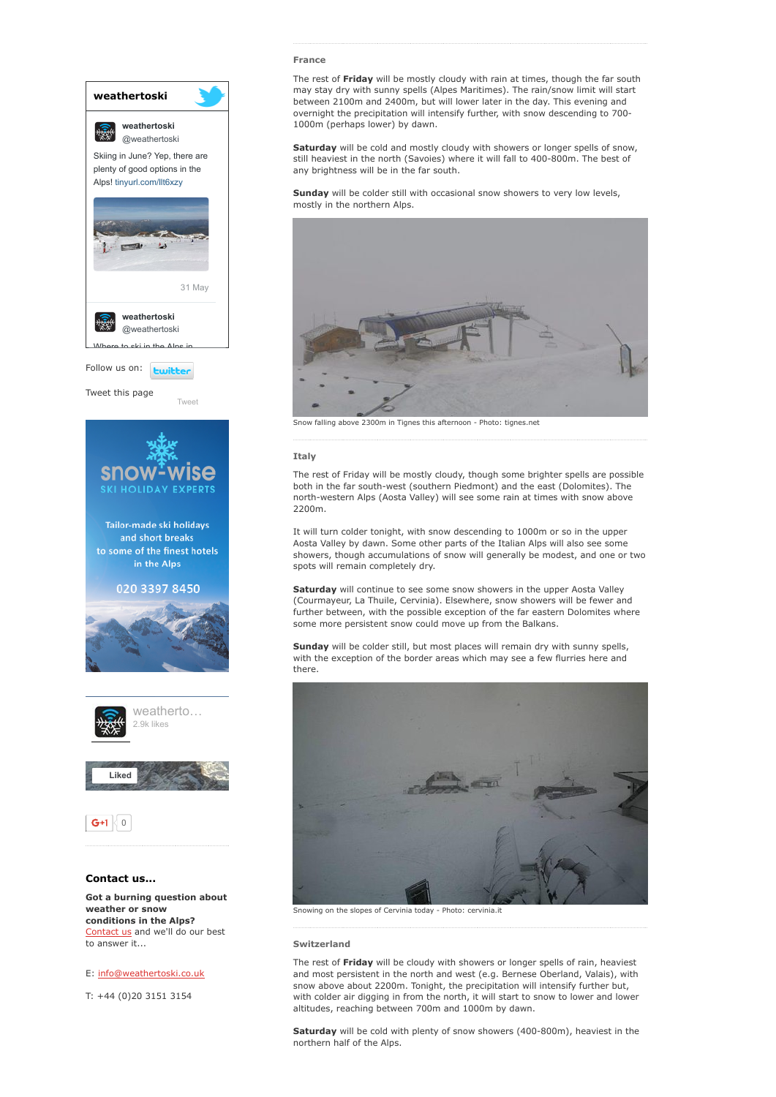

[Contact](http://www.weathertoski.co.uk/about-1/contact-us/) us and we'll do our best to answer it...

# E: [info@weathertoski.co.uk](mailto:fraser@weathertoski.co.uk)

T: +44 (0)20 3151 3154

#### France

The rest of Friday will be mostly cloudy with rain at times, though the far south may stay dry with sunny spells (Alpes Maritimes). The rain/snow limit will start between 2100m and 2400m, but will lower later in the day. This evening and overnight the precipitation will intensify further, with snow descending to 700 1000m (perhaps lower) by dawn.

Saturday will be cold and mostly cloudy with showers or longer spells of snow, still heaviest in the north (Savoies) where it will fall to 400-800m. The best of any brightness will be in the far south.

Sunday will be colder still with occasional snow showers to very low levels, mostly in the northern Alps.



Snow falling above 2300m in Tignes this afternoon - Photo: tignes.net

### Italy

The rest of Friday will be mostly cloudy, though some brighter spells are possible both in the far south-west (southern Piedmont) and the east (Dolomites). The north-western Alps (Aosta Valley) will see some rain at times with snow above 2200m.

It will turn colder tonight, with snow descending to 1000m or so in the upper Aosta Valley by dawn. Some other parts of the Italian Alps will also see some showers, though accumulations of snow will generally be modest, and one or two spots will remain completely dry.

Saturday will continue to see some snow showers in the upper Aosta Valley (Courmayeur, La Thuile, Cervinia). Elsewhere, snow showers will be fewer and further between, with the possible exception of the far eastern Dolomites where some more persistent snow could move up from the Balkans.

Sunday will be colder still, but most places will remain dry with sunny spells, with the exception of the border areas which may see a few flurries here and there.



Snowing on the slopes of Cervinia today - Photo: cervinia.it

#### Switzerland

The rest of Friday will be cloudy with showers or longer spells of rain, heaviest and most persistent in the north and west (e.g. Bernese Oberland, Valais), with snow above about 2200m. Tonight, the precipitation will intensify further but, with colder air digging in from the north, it will start to snow to lower and lower altitudes, reaching between 700m and 1000m by dawn.

Saturday will be cold with plenty of snow showers (400-800m), heaviest in the northern half of the Alps.